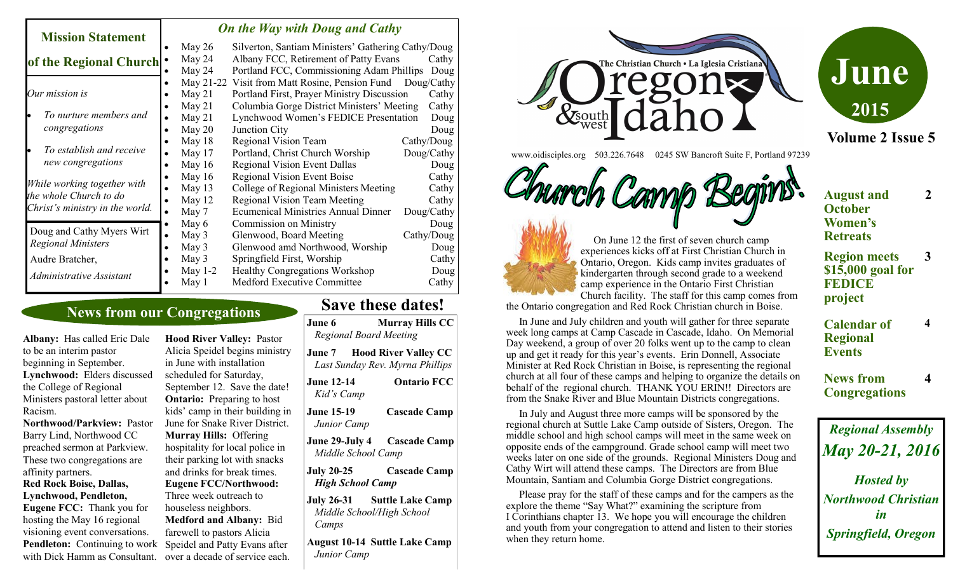| <b>Mission Statement</b>                                                                 |           | On the Way with Doug and Cathy |                                                    |            |  |
|------------------------------------------------------------------------------------------|-----------|--------------------------------|----------------------------------------------------|------------|--|
|                                                                                          |           | May $26$                       | Silverton, Santiam Ministers' Gathering Cathy/Doug |            |  |
| of the Regional Church                                                                   |           | May 24                         | Albany FCC, Retirement of Patty Evans              | Cathy      |  |
|                                                                                          |           | May 24                         | Portland FCC, Commissioning Adam Phillips          | Doug       |  |
| Our mission is                                                                           |           | May 21-22                      | Visit from Matt Rosine, Pension Fund               | Doug/Cathy |  |
|                                                                                          |           | May $21$                       | Portland First, Prayer Ministry Discussion         | Cathy      |  |
|                                                                                          |           | May $21$                       | Columbia Gorge District Ministers' Meeting         | Cathy      |  |
| To nurture members and                                                                   | $\bullet$ | May $21$                       | Lynchwood Women's FEDICE Presentation              | Doug       |  |
| congregations                                                                            |           | May $20$                       | Junction City                                      | Doug       |  |
|                                                                                          |           | May 18                         | <b>Regional Vision Team</b>                        | Cathy/Doug |  |
| To establish and receive                                                                 | $\bullet$ | May 17                         | Portland, Christ Church Worship                    | Doug/Cathy |  |
| new congregations                                                                        |           | May 16                         | <b>Regional Vision Event Dallas</b>                | Doug       |  |
| While working together with<br>the whole Church to do<br>Christ's ministry in the world. |           | May $16$                       | <b>Regional Vision Event Boise</b>                 | Cathy      |  |
|                                                                                          | $\bullet$ | May $13$                       | College of Regional Ministers Meeting              | Cathy      |  |
|                                                                                          |           | May 12                         | <b>Regional Vision Team Meeting</b>                | Cathy      |  |
|                                                                                          | $\bullet$ | May 7                          | <b>Ecumenical Ministries Annual Dinner</b>         | Doug/Cathy |  |
|                                                                                          | $\bullet$ | May 6                          | Commission on Ministry                             | Doug       |  |
| Doug and Cathy Myers Wirt                                                                | $\bullet$ | May 3                          | Glenwood, Board Meeting                            | Cathy/Doug |  |
| <b>Regional Ministers</b>                                                                | $\bullet$ | May 3                          | Glenwood amd Northwood, Worship                    | Doug       |  |
| Audre Bratcher,                                                                          |           | May 3                          | Springfield First, Worship                         | Cathy      |  |
| Administrative Assistant                                                                 |           | May $1-2$                      | <b>Healthy Congregations Workshop</b>              | Doug       |  |
|                                                                                          |           | May 1                          | Medford Executive Committee                        | Cathy      |  |

## **News from our Congregations**

**Albany:** Has called Eric Dale to be an interim pastor beginning in September. **Lynchwood:** Elders discussed the College of Regional Ministers pastoral letter about Racism.

**Northwood/Parkview:** Pastor Barry Lind, Northwood CC preached sermon at Parkview. These two congregations are affinity partners. **Red Rock Boise, Dallas, Lynchwood, Pendleton,** 

with Dick Hamm as Consultant. over a decade of service each. **Eugene FCC:** Thank you for hosting the May 16 regional visioning event conversations. **Pendleton:** Continuing to work

**Hood River Valley:** Pastor Alicia Speidel begins ministry in June with installation scheduled for Saturday, September 12. Save the date! **Ontario:** Preparing to host kids' camp in their building in June for Snake River District. **Murray Hills:** Offering hospitality for local police in their parking lot with snacks and drinks for break times. **Eugene FCC/Northwood:**  Three week outreach to houseless neighbors. **Medford and Albany:** Bid farewell to pastors Alicia Speidel and Patty Evans after

# **Save these dates!**

| June 6                          | <b>Murray Hills CC</b><br><b>Regional Board Meeting</b>               |
|---------------------------------|-----------------------------------------------------------------------|
|                                 | <b>June 7 Hood River Valley CC</b><br>Last Sunday Rev. Myrna Phillips |
| <b>June 12-14</b><br>Kid's Camp | <b>Ontario FCC</b>                                                    |
| June 15-19<br>Junior Camp       | <b>Cascade Camp</b>                                                   |
|                                 | June 29-July 4 Cascade Camp<br>Middle School Camp                     |
| <b>July 20-25</b>               | <b>Cascade Camp</b><br><b>High School Camp</b>                        |
| Camps                           | July 26-31 Suttle Lake Camp<br>Middle School/High School              |
| Junior Camp                     | <b>August 10-14 Suttle Lake Camp</b>                                  |



www.oidisciples.org 503.226.7648 0245 SW Bancroft Suite F, Portland 97239





 On June 12 the first of seven church camp experiences kicks off at First Christian Church in Ontario, Oregon. Kids camp invites graduates of kindergarten through second grade to a weekend camp experience in the Ontario First Christian Church facility. The staff for this camp comes from

the Ontario congregation and Red Rock Christian church in Boise.

 In June and July children and youth will gather for three separate week long camps at Camp Cascade in Cascade, Idaho. On Memorial Day weekend, a group of over 20 folks went up to the camp to clean up and get it ready for this year's events. Erin Donnell, Associate Minister at Red Rock Christian in Boise, is representing the regional church at all four of these camps and helping to organize the details on behalf of the regional church. THANK YOU ERIN!! Directors are from the Snake River and Blue Mountain Districts congregations.

 In July and August three more camps will be sponsored by the regional church at Suttle Lake Camp outside of Sisters, Oregon. The middle school and high school camps will meet in the same week on opposite ends of the campground. Grade school camp will meet two weeks later on one side of the grounds. Regional Ministers Doug and Cathy Wirt will attend these camps. The Directors are from Blue Mountain, Santiam and Columbia Gorge District congregations.

 Please pray for the staff of these camps and for the campers as the explore the theme "Say What?" examining the scripture from I Corinthians chapter 13. We hope you will encourage the children and youth from your congregation to attend and listen to their stories when they return home.

#### **August and October Women's Retreats 2**

**3**

**4**

**4**

**Volume 2 Issue 5**

**June**

**2015**

**Region meets \$15,000 goal for FEDICE project**

**Calendar of Regional Events**

#### **News from Congregations**

*Regional Assembly May 20-21, 2016 Hosted by Northwood Christian in Springfield, Oregon*